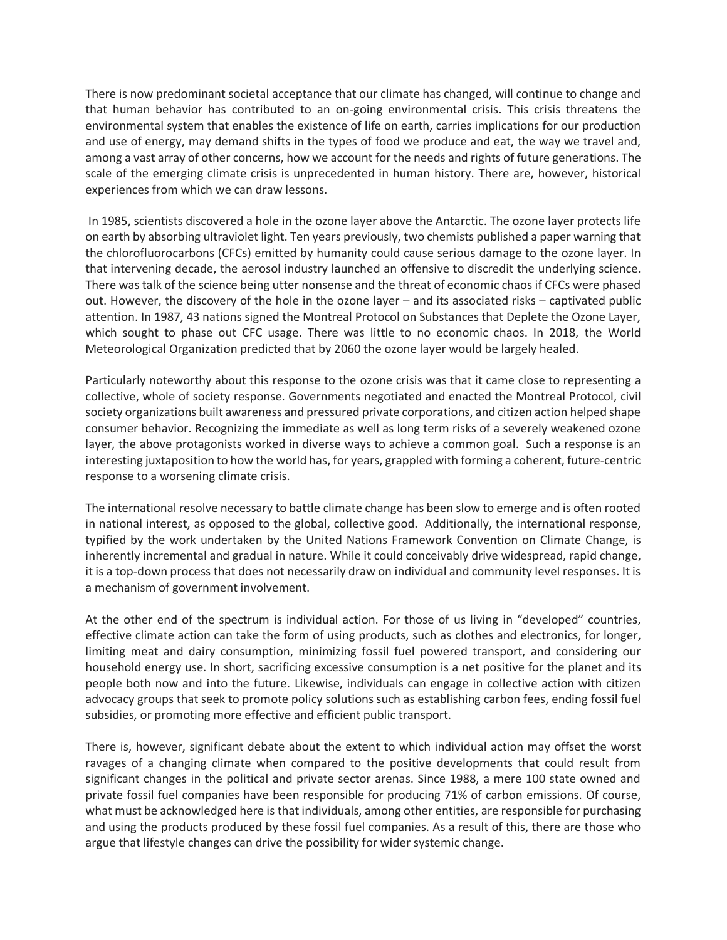There is now predominant societal acceptance that our climate has changed, will continue to change and that human behavior has contributed to an on-going environmental crisis. This crisis threatens the environmental system that enables the existence of life on earth, carries implications for our production and use of energy, may demand shifts in the types of food we produce and eat, the way we travel and, among a vast array of other concerns, how we account for the needs and rights of future generations. The scale of the emerging climate crisis is unprecedented in human history. There are, however, historical experiences from which we can draw lessons.

In 1985, scientists discovered a hole in the ozone layer above the Antarctic. The ozone layer protects life on earth by absorbing ultraviolet light. Ten years previously, two chemists published a paper warning that the chlorofluorocarbons (CFCs) emitted by humanity could cause serious damage to the ozone layer. In that intervening decade, the aerosol industry launched an offensive to discredit the underlying science. There was talk of the science being utter nonsense and the threat of economic chaos if CFCs were phased out. However, the discovery of the hole in the ozone layer – and its associated risks – captivated public attention. In 1987, 43 nations signed the Montreal Protocol on Substances that Deplete the Ozone Layer, which sought to phase out CFC usage. There was little to no economic chaos. In 2018, the World Meteorological Organization predicted that by 2060 the ozone layer would be largely healed.

Particularly noteworthy about this response to the ozone crisis was that it came close to representing a collective, whole of society response. Governments negotiated and enacted the Montreal Protocol, civil society organizations built awareness and pressured private corporations, and citizen action helped shape consumer behavior. Recognizing the immediate as well as long term risks of a severely weakened ozone layer, the above protagonists worked in diverse ways to achieve a common goal. Such a response is an interesting juxtaposition to how the world has, for years, grappled with forming a coherent, future-centric response to a worsening climate crisis.

The international resolve necessary to battle climate change has been slow to emerge and is often rooted in national interest, as opposed to the global, collective good. Additionally, the international response, typified by the work undertaken by the United Nations Framework Convention on Climate Change, is inherently incremental and gradual in nature. While it could conceivably drive widespread, rapid change, it is a top-down process that does not necessarily draw on individual and community level responses. It is a mechanism of government involvement.

At the other end of the spectrum is individual action. For those of us living in "developed" countries, effective climate action can take the form of using products, such as clothes and electronics, for longer, limiting meat and dairy consumption, minimizing fossil fuel powered transport, and considering our household energy use. In short, sacrificing excessive consumption is a net positive for the planet and its people both now and into the future. Likewise, individuals can engage in collective action with citizen advocacy groups that seek to promote policy solutions such as establishing carbon fees, ending fossil fuel subsidies, or promoting more effective and efficient public transport.

There is, however, significant debate about the extent to which individual action may offset the worst ravages of a changing climate when compared to the positive developments that could result from significant changes in the political and private sector arenas. Since 1988, a mere 100 state owned and private fossil fuel companies have been responsible for producing 71% of carbon emissions. Of course, what must be acknowledged here is that individuals, among other entities, are responsible for purchasing and using the products produced by these fossil fuel companies. As a result of this, there are those who argue that lifestyle changes can drive the possibility for wider systemic change.